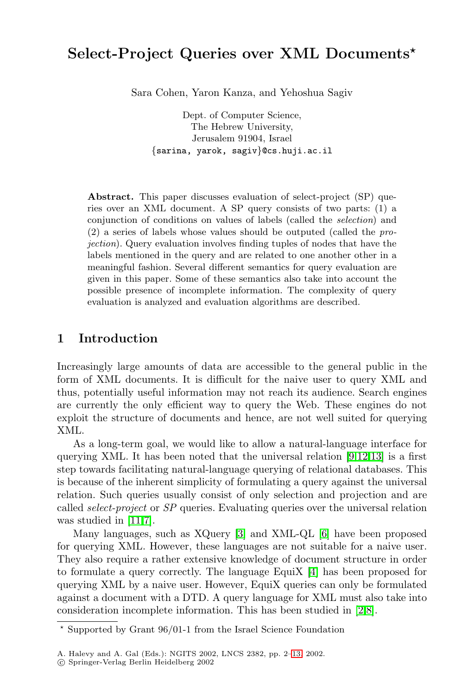# **Select-Project Queries over XML Documents**

Sara Cohen, Yaron Kanza, and Yehoshua Sagiv

Dept. of Computer Science, The Hebrew University, Jerusalem 91904, Israel {sarina, yarok, sagiv}@cs.huji.ac.il

**Abstract.** This paper discusses evaluation of select-project (SP) queries over an XML document. A SP query consists of two parts: (1) a conjunction of conditions on values of labels (called the selection) and (2) a series of labels whose values should be outputed (called the projection). Query evaluation involves finding tuples of nodes that have the labels mentioned in the query and are related to one another other in a meaningful fashion. Several different semantics for query evaluation are given in this paper. Some of these semantics also take into account the possible presence of incomplete information. The complexity of query evaluation is analyzed and evaluation algorithms are described.

# **1 Introduction**

Increasingly large amounts of data are accessible to the general public in the form of XML documents. It is difficult for the naive user to query XML and [th](#page-11-0)us, potentially useful information may not reach its audience. Search engines are currently the o[nly](#page-11-0) efficient way [to](#page-11-0) query the Web. These engines do not exploit the structure of documents and hence, are not well suited for querying XML.

As a long-term goal, we would l[ik](#page-11-0)e to allow a natural-language interface for querying XML. It has been noted that the universal relation [9,12,13] is a first step towards facilitating natural-language querying of relational databases. This is because of the inherent simplicity of formul[ating](#page-11-0) a query against the universal relation. Such queries usually consist of only selection and projection and are called select-project or SP queries. Evaluating queries over the universal relation was studied in [11,7].

Many languages, such as XQuery [3] and XML-QL [6] have been proposed for querying XML. However, these languages are not suitable for a naive user. They also require a rather extensive knowledge of document structure in order to formulate a query correctly. The language EquiX [4] has been proposed for querying XML by a naive user. However, EquiX queries can only be formulated against a document with a DTD. A query language for XML must also take into consideration incomplete information. This has been studied in [2,8].

 $\star$  Supported by Grant 96/01-1 from the Israel Science Foundation

A. Halevy and A. Gal (Eds.): NGITS 2002, LNCS 2382, pp. 2–13, 2002.

c Springer-Verlag Berlin Heidelberg 2002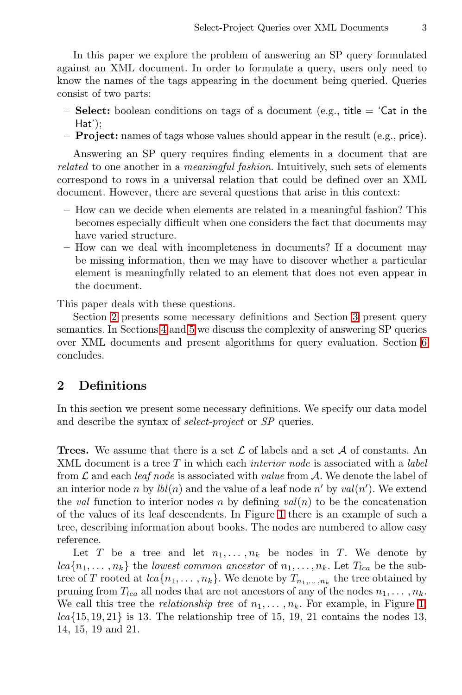In this paper we explore the problem of answering an SP query formulated against an XML document. In order to formulate a query, users only need to know the names of the tags appearing in the document being queried. Queries consist of two parts:

- **Select:** boolean conditions on tags of a document (e.g., title = 'Cat in the Hat');
- **Project:** names of tags whose values should appear in the result (e.g., price).

Answering an SP query requires finding elements in a document that are related to one another in a meaningful fashion. Intuitively, such sets of elements correspond to rows in a universal relation that could be defined over an XML document. However, there are several questions that arise in this context:

- **–** How can we decide when elements are related in a meaningful fashion? This becomes especially difficult when one considers the fact that documents may have varied structure.
- **–** How can we deal with incompleteness in documents? If a document may be missing information, then we may have to discover whether a particular element is meaningfully related to an element that does not even appear in the document.

This paper deals with these questions.

Section 2 presents some necessary definitions and Section [3](#page-3-0) present query semantics. In Sections [4](#page-5-0) and [5](#page-8-0) we discuss the complexity of answering SP queries over XML documents and present algorithms for query evaluation. Section [6](#page-9-0) concludes.

# **2 Definitions**

In this section we present some necessary definitions. We specify our data model and describe the syntax of select-project or SP queries.

**Trees.** We assume that there is a set  $\mathcal{L}$  of labels and a set  $\mathcal{A}$  of constants. An XML document is a tree  $T$  in which each *interior node* is associated with a *label* from  $\mathcal L$  and each leaf node is associated with value from  $\mathcal A$ . We denote the label of an interior node *n* by  $\text{lb}(n)$  and the value of a leaf node *n'* by  $\text{val}(n')$ . We extend the val function to interior nodes n by defining  $val(n)$  to be the concatenation of the values of its leaf descendents. In Figure [1](#page-2-0) there is an example of such a tree, describing information about books. The nodes are numbered to allow easy reference.

Let T be a tree and let  $n_1, \ldots, n_k$  be nodes in T. We denote by  $lca\{n_1,\ldots,n_k\}$  the *lowest common ancestor* of  $n_1,\ldots,n_k$ . Let  $T_{lca}$  be the subtree of T rooted at  $lca{n_1,\ldots,n_k}$ . We denote by  $T_{n_1,\ldots,n_k}$  the tree obtained by pruning from  $T_{lca}$  all nodes that are not ancestors of any of the nodes  $n_1, \ldots, n_k$ . We call this tree the *relationship tree* of  $n_1, \ldots, n_k$ . For example, in Figure [1,](#page-2-0)  $lca\{15, 19, 21\}$  is 13. The relationship tree of 15, 19, 21 contains the nodes 13, 14, 15, 19 and 21.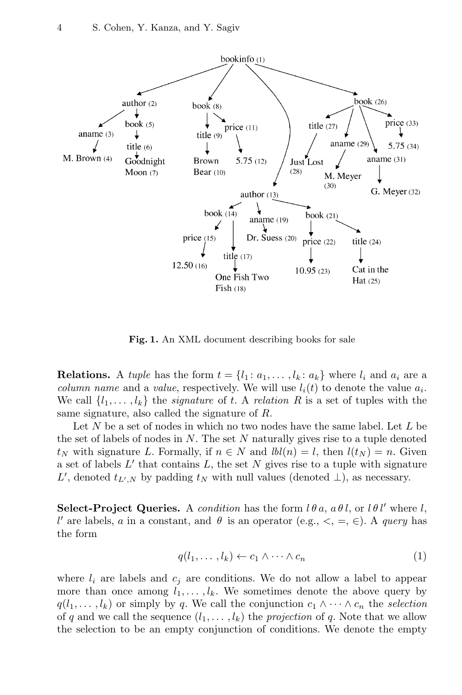<span id="page-2-0"></span>

**Fig. 1.** An XML document describing books for sale

**Relations.** A tuple has the form  $t = \{l_1 : a_1, \ldots, l_k : a_k\}$  where  $l_i$  and  $a_i$  are a *column name* and a *value*, respectively. We will use  $l_i(t)$  to denote the value  $a_i$ . We call  $\{l_1,\ldots,l_k\}$  the *signature* of t. A *relation* R is a set of tuples with the same signature, also called the signature of R.

Let  $N$  be a set of nodes in which no two nodes have the same label. Let  $L$  be the set of labels of nodes in  $N$ . The set  $N$  naturally gives rise to a tuple denoted  $t_N$  with signature L. Formally, if  $n \in N$  and  $\text{lb}(n) = l$ , then  $\text{l}(t_N) = n$ . Given a set of labels  $L'$  that contains  $L$ , the set  $N$  gives rise to a tuple with signature L', denoted  $t_{L',N}$  by padding  $t_N$  with null values (denoted  $\perp$ ), as necessary.

**Select-Project Queries.** A *condition* has the form  $l \theta a$ ,  $a \theta l$ , or  $l \theta l'$  where l, l' are labels, a in a constant, and  $\theta$  is an operator (e.g.,  $\lt$ ,  $\lt$ ,  $\lt$ ). A query has the form

$$
q(l_1, \ldots, l_k) \leftarrow c_1 \wedge \cdots \wedge c_n \tag{1}
$$

where  $l_i$  are labels and  $c_j$  are conditions. We do not allow a label to appear more than once among  $l_1, \ldots, l_k$ . We sometimes denote the above query by  $q(l_1,\ldots,l_k)$  or simply by q. We call the conjunction  $c_1 \wedge \cdots \wedge c_n$  the selection of q and we call the sequence  $(l_1,\ldots, l_k)$  the projection of q. Note that we allow the selection to be an empty conjunction of conditions. We denote the empty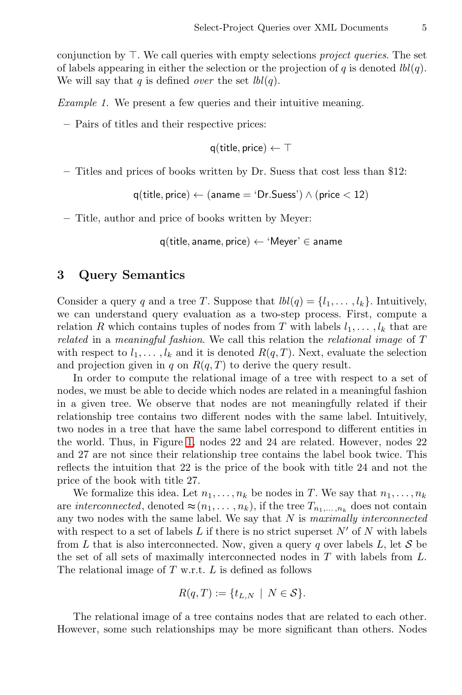<span id="page-3-0"></span>conjunction by  $\top$ . We call queries with empty selections *project queries*. The set of labels appearing in either the selection or the projection of q is denoted  $\text{lb}(q)$ . We will say that q is defined over the set  $lbl(q)$ .

Example 1. We present a few queries and their intuitive meaning.

**–** Pairs of titles and their respective prices:

$$
\textsf{q}(\textsf{title}, \textsf{price}) \gets \top
$$

**–** Titles and prices of books written by Dr. Suess that cost less than \$12:

 $q(title, price) \leftarrow (aname = 'Dr.Suess') \wedge (price < 12)$ 

**–** Title, author and price of books written by Meyer:

 $q(title, name, price) \leftarrow 'Meyer' \in aname$ 

### **3 Query Semantics**

Consider a query q and a tree T. Suppose that  $\text{lbl}(q) = \{l_1, \ldots, l_k\}$ . Intuitively, we can understand query evaluation as a two-step process. First, compute a relation R which contains tuples of nodes from T with labels  $l_1,\ldots,l_k$  that are related in a meaningful fashion. We call this relation the relational image of T with respect to  $l_1,\ldots,l_k$  and it is denoted  $R(q,T)$ . Next, evaluate the selection and projection given in q on  $R(q, T)$  to derive the query result.

In order to compute the relational image of a tree with respect to a set of nodes, we must be able to decide which nodes are related in a meaningful fashion in a given tree. We observe that nodes are not meaningfully related if their relationship tree contains two different nodes with the same label. Intuitively, two nodes in a tree that have the same label correspond to different entities in the world. Thus, in Figure [1,](#page-2-0) nodes 22 and 24 are related. However, nodes 22 and 27 are not since their relationship tree contains the label book twice. This reflects the intuition that 22 is the price of the book with title 24 and not the price of the book with title 27.

We formalize this idea. Let  $n_1,\ldots,n_k$  be nodes in T. We say that  $n_1,\ldots,n_k$ are interconnected, denoted  $\approx(n_1,\ldots,n_k)$ , if the tree  $T_{n_1,\ldots,n_k}$  does not contain any two nodes with the same label. We say that  $N$  is maximally interconnected with respect to a set of labels L if there is no strict superset  $N'$  of N with labels from L that is also interconnected. Now, given a query q over labels  $L$ , let  $S$  be the set of all sets of maximally interconnected nodes in T with labels from L. The relational image of  $T$  w.r.t.  $L$  is defined as follows

$$
R(q,T) := \{ t_{L,N} \mid N \in \mathcal{S} \}.
$$

The relational image of a tree contains nodes that are related to each other. However, some such relationships may be more significant than others. Nodes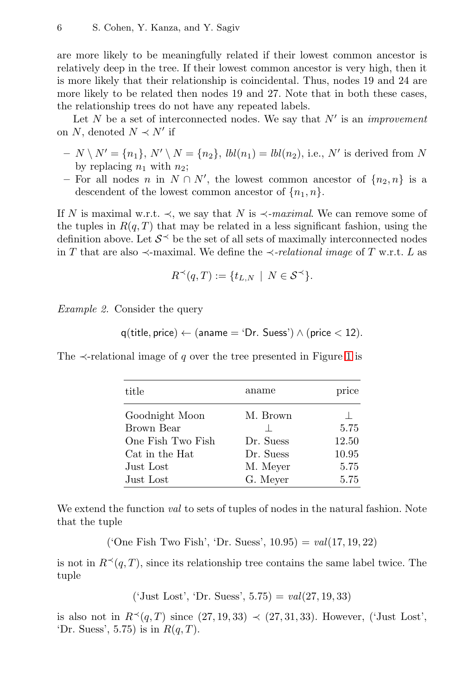<span id="page-4-0"></span>are more likely to be meaningfully related if their lowest common ancestor is relatively deep in the tree. If their lowest common ancestor is very high, then it is more likely that their relationship is coincidental. Thus, nodes 19 and 24 are more likely to be related then nodes 19 and 27. Note that in both these cases, the relationship trees do not have any repeated labels.

Let N be a set of interconnected nodes. We say that  $N'$  is an *improvement* on N, denoted  $N \prec N'$  if

- $N \setminus N' = \{n_1\}, N' \setminus N = \{n_2\}, bl(n_1) = bl(n_2), \text{ i.e., } N' \text{ is derived from } N$ by replacing  $n_1$  with  $n_2$ ;
- $-$  For all nodes *n* in *N* ∩ *N'*, the lowest common ancestor of  $\{n_2, n\}$  is a descendent of the lowest common ancestor of  $\{n_1, n\}.$

If N is maximal w.r.t.  $\prec$ , we say that N is  $\prec$ -maximal. We can remove some of the tuples in  $R(q, T)$  that may be related in a less significant fashion, using the definition above. Let  $S^{\preceq}$  be the set of all sets of maximally interconnected nodes in T that are also  $\prec$ -maximal. We define the  $\prec$ -relational image of T w.r.t. L as

$$
R^{\prec}(q,T) := \{ t_{L,N} \mid N \in \mathcal{S}^{\prec} \}.
$$

Example 2. Consider the query

$$
\mathsf{q}(\mathsf{title}, \mathsf{price}) \leftarrow (\mathsf{aname} = \text{`Dr. Suess'}) \land (\mathsf{price} < 12).
$$

The  $\prec$ -relational image of q over the tree presented in Figure [1](#page-2-0) is

| title             | aname     | price |
|-------------------|-----------|-------|
| Goodnight Moon    | M. Brown  |       |
| Brown Bear        |           | 5.75  |
| One Fish Two Fish | Dr. Suess | 12.50 |
| Cat in the Hat    | Dr. Suess | 10.95 |
| Just Lost         | M. Meyer  | 5.75  |
| Just Lost         | G. Meyer  | 5.75  |

We extend the function *val* to sets of tuples of nodes in the natural fashion. Note that the tuple

('One Fish Two Fish', 'Dr. Suess',  $10.95$ ) =  $val(17, 19, 22)$ 

is not in  $R^{\prec}(q,T)$ , since its relationship tree contains the same label twice. The tuple

 $('Just Lost', 'Dr. Suess', 5.75) = val(27, 19, 33)$ 

is also not in  $R^\prec(q,T)$  since  $(27, 19, 33) \prec (27, 31, 33)$ . However, ('Just Lost', 'Dr. Suess', 5.75) is in  $R(q, T)$ .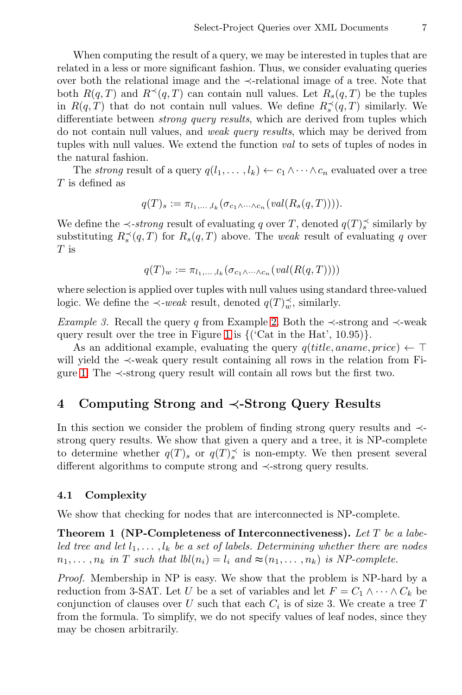<span id="page-5-0"></span>When computing the result of a query, we may be interested in tuples that are related in a less or more significant fashion. Thus, we consider evaluating queries over both the relational image and the ≺-relational image of a tree. Note that both  $R(q,T)$  and  $R^{\prec}(q,T)$  can contain null values. Let  $R_s(q,T)$  be the tuples in  $R(q,T)$  that do not contain null values. We define  $R_s^{\prec}(q,T)$  similarly. We differentiate between *strong query results*, which are derived from tuples which do not contain null values, and *weak query results*, which may be derived from tuples with null values. We extend the function val to sets of tuples of nodes in the natural fashion.

The strong result of a query  $q(l_1,\ldots,l_k) \leftarrow c_1 \wedge \cdots \wedge c_n$  evaluated over a tree T is defined as

$$
q(T)_s := \pi_{l_1,\ldots,l_k}(\sigma_{c_1\wedge\cdots\wedge c_n}(val(R_s(q,T))).
$$

We define the  $\prec$ -strong result of evaluating q over T, denoted  $q(T)_{s}^{\prec}$  similarly by substituting  $R_s^{\prec}(q,T)$  for  $R_s(q,T)$  above. The *weak* result of evaluating q over T is

$$
q(T)_w := \pi_{l_1,\dots,l_k}(\sigma_{c_1\wedge\cdots\wedge c_n}(val(R(q,T))))
$$

where selection is applied over tuples with null values using standard three-valued logic. We define the  $\prec$ -weak result, denoted  $q(T)_{w}^{\prec}$ , similarly.

Example 3. Recall the query q from Example [2.](#page-4-0) Both the  $\prec$ -strong and  $\prec$ -weak query result over the tree in Figure [1](#page-2-0) is  $\{(\text{Cat in the Hat'}, 10.95)\}.$ 

As an additional example, evaluating the query  $q(title, name, price) \leftarrow \top$ will yield the ≺-weak query result containing all rows in the relation from Fi-gure [1.](#page-2-0) The  $\prec$ -strong query result will contain all rows but the first two.

### **4 Computing Strong and** *≺***-Strong Query Results**

In this section we consider the problem of finding strong query results and ≺ strong query results. We show that given a query and a tree, it is NP-complete to determine whether  $q(T)_{s}$  or  $q(T)_{s}^{\prec}$  is non-empty. We then present several different algorithms to compute strong and ≺-strong query results.

#### **4.1 Complexity**

We show that checking for nodes that are interconnected is NP-complete.

**Theorem 1 (NP-Completeness of Interconnectiveness).** Let T be a labeled tree and let  $l_1, \ldots, l_k$  be a set of labels. Determining whether there are nodes  $n_1, \ldots, n_k$  in T such that  $\text{lb}(n_i) = l_i$  and  $\approx (n_1, \ldots, n_k)$  is NP-complete.

*Proof.* Membership in NP is easy. We show that the problem is NP-hard by a reduction from 3-SAT. Let U be a set of variables and let  $F = C_1 \wedge \cdots \wedge C_k$  be conjunction of clauses over U such that each  $C_i$  is of size 3. We create a tree T from the formula. To simplify, we do not specify values of leaf nodes, since they may be chosen arbitrarily.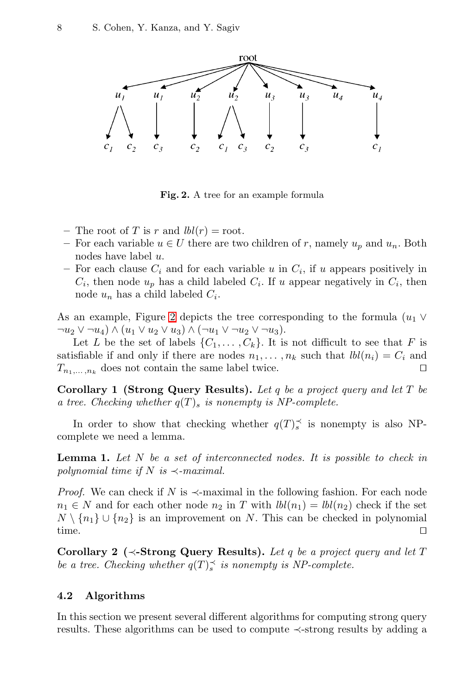

**Fig. 2.** A tree for an example formula

- The root of T is r and  $\textit{lbl}(r) = \text{root}$ .
- For each variable  $u \in U$  there are two children of r, namely  $u_p$  and  $u_n$ . Both nodes have label u.
- For each clause  $C_i$  and for each variable u in  $C_i$ , if u appears positively in  $C_i$ , then node  $u_p$  has a child labeled  $C_i$ . If u appear negatively in  $C_i$ , then node  $u_n$  has a child labeled  $C_i$ .

As an example, Figure 2 depicts the tree corresponding to the formula  $(u_1 \vee$  $\neg u_2 \vee \neg u_4) \wedge (u_1 \vee u_2 \vee u_3) \wedge (\neg u_1 \vee \neg u_2 \vee \neg u_3).$ 

Let L be the set of labels  $\{C_1,\ldots,C_k\}$ . It is not difficult to see that F is satisfiable if and only if there are nodes  $n_1, \ldots, n_k$  such that  $\textit{lb}(n_i) = C_i$  and  $T_{n_1,\ldots,n_k}$  does not contain the same label twice.

**Corollary 1 (Strong Query Results).** Let q be a project query and let T be a tree. Checking whether  $q(T)_{s}$  is nonempty is NP-complete.

In order to show that checking whether  $q(T)_{s}^{\prec}$  is nonempty is also NPcomplete we need a lemma.

**Lemma 1.** Let N be a set of interconnected nodes. It is possible to check in polynomial time if  $N$  is  $\prec$ -maximal.

*Proof.* We can check if N is  $\prec$ -maximal in the following fashion. For each node  $n_1 \in N$  and for each other node  $n_2$  in T with  $\text{lb}(n_1) = \text{lb}(n_2)$  check if the set  $N \setminus \{n_1\} \cup \{n_2\}$  is an improvement on N. This can be checked in polynomial time.

**Corollary 2** ( $\prec$ **-Strong Query Results).** Let q be a project query and let T be a tree. Checking whether  $q(T)_{s}^{\prec}$  is nonempty is NP-complete.

### **4.2 Algorithms**

In this section we present several different algorithms for computing strong query results. These algorithms can be used to compute ≺-strong results by adding a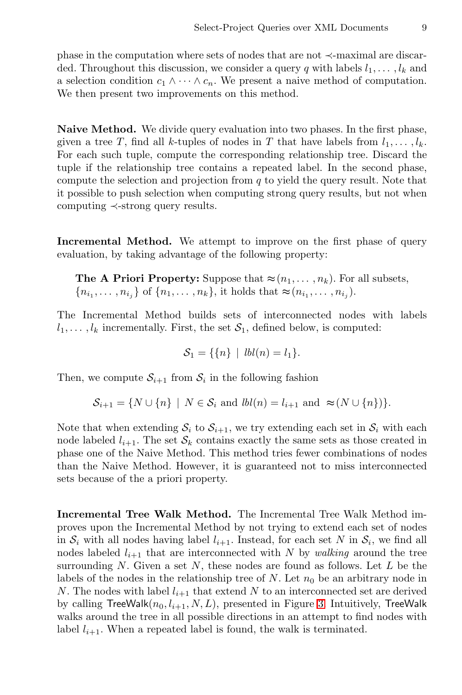phase in the computation where sets of nodes that are not ≺-maximal are discarded. Throughout this discussion, we consider a query q with labels  $l_1,\ldots,l_k$  and a selection condition  $c_1 \wedge \cdots \wedge c_n$ . We present a naive method of computation. We then present two improvements on this method.

**Naive Method.** We divide query evaluation into two phases. In the first phase, given a tree T, find all k-tuples of nodes in T that have labels from  $l_1, \ldots, l_k$ . For each such tuple, compute the corresponding relationship tree. Discard the tuple if the relationship tree contains a repeated label. In the second phase, compute the selection and projection from  $q$  to yield the query result. Note that it possible to push selection when computing strong query results, but not when computing ≺-strong query results.

**Incremental Method.** We attempt to improve on the first phase of query evaluation, by taking advantage of the following property:

**The A Priori Property:** Suppose that  $\approx (n_1, \ldots, n_k)$ . For all subsets,  ${n_{i_1}, \ldots, n_{i_j}}$  of  ${n_1, \ldots, n_k}$ , it holds that  $\approx (n_{i_1}, \ldots, n_{i_j})$ .

The Incremental Method builds sets of interconnected nodes with labels  $l_1, \ldots, l_k$  incrementally. First, the set  $S_1$ , defined below, is computed:

$$
\mathcal{S}_1 = \{ \{n\} \mid \text{lbl}(n) = l_1 \}.
$$

Then, we compute  $S_{i+1}$  from  $S_i$  in the following fashion

$$
\mathcal{S}_{i+1} = \{ N \cup \{n\} \mid N \in \mathcal{S}_i \text{ and } bl(n) = l_{i+1} \text{ and } \approx(N \cup \{n\}) \}.
$$

Note that when extending  $S_i$  to  $S_{i+1}$ , we try extending each set in  $S_i$  with each node labeled  $l_{i+1}$ . The set  $S_k$  contains exactly the same sets as those created in phase one of the Naive Method. This method tries fewer combinations of nodes than the Naive Method. However, it is guaranteed not to miss interconnected sets because of the a priori property.

**Incremental Tree Walk Method.** The Incremental Tree Walk Method improves upon the Incremental Method by not trying to extend each set of nodes in  $S_i$  with all nodes having label  $l_{i+1}$ . Instead, for each set N in  $S_i$ , we find all nodes labeled  $l_{i+1}$  that are interconnected with N by walking around the tree surrounding N. Given a set  $N$ , these nodes are found as follows. Let  $L$  be the labels of the nodes in the relationship tree of N. Let  $n_0$  be an arbitrary node in N. The nodes with label  $l_{i+1}$  that extend N to an interconnected set are derived by calling  $TreeWalk(n_0, l_{i+1}, N, L)$ , presented in Figure [3.](#page-8-0) Intuitively, TreeWalk walks around the tree in all possible directions in an attempt to find nodes with label  $l_{i+1}$ . When a repeated label is found, the walk is terminated.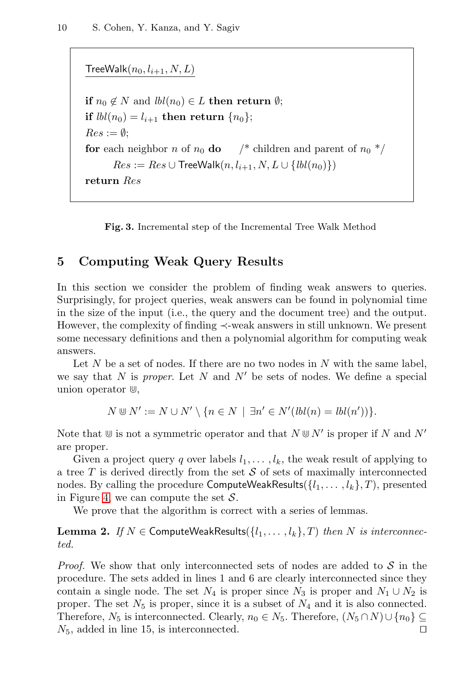<span id="page-8-0"></span>TreeWalk $(n_0, l_{i+1}, N, L)$ **if**  $n_0 \notin N$  and  $\text{lb}(n_0) \in L$  **then return**  $\emptyset$ ; **if**  $bb(n_0) = l_{i+1}$  **then return**  $\{n_0\}$ ;  $Res := \emptyset$ ; **for** each neighbor n of  $n_0$  **do**  $\binom{*}{k}$  children and parent of  $n_0$ <sup>\*</sup>/  $Res := Res \cup TreeWalk(n, l_{i+1}, N, L \cup \{lbl(n_0)\})$ **return** Res

**Fig. 3.** Incremental step of the Incremental Tree Walk Method

# **5 Computing Weak Query Results**

In this section we consider the problem of finding weak answers to queries. Surprisingly, for project queries, weak answers can be found in polynomial time in the size of the input (i.e., the query and the document tree) and the output. However, the complexity of finding ≺-weak answers in still unknown. We present some necessary definitions and then a polynomial algorithm for computing weak answers.

Let  $N$  be a set of nodes. If there are no two nodes in  $N$  with the same label, we say that  $N$  is *proper*. Let  $N$  and  $N'$  be sets of nodes. We define a special union operator  $\mathbb{U}$ ,

 $N \mathbb{U} N' := N \cup N' \setminus \{n \in N \mid \exists n' \in N'(lbl(n) = lbl(n'))\}.$ 

Note that  $\mathbb U$  is not a symmetric operator and that  $N \mathbb U N'$  is proper if N and  $N'$ are proper.

Given a project query q over labels  $l_1, \ldots, l_k$ , the weak result of applying to a tree  $T$  is derived directly from the set  $S$  of sets of maximally interconnected nodes. By calling the procedure ComputeWeakResults( $\{l_1,\ldots,l_k\}, T$ ), presented in Figure [4,](#page-10-0) we can compute the set  $S$ .

We prove that the algorithm is correct with a series of lemmas.

**Lemma 2.** If  $N \in \text{ComputeWeakResults}(\{l_1, \ldots, l_k\}, T)$  then N is interconnected.

*Proof.* We show that only interconnected sets of nodes are added to  $S$  in the procedure. The sets added in lines 1 and 6 are clearly interconnected since they contain a single node. The set  $N_4$  is proper since  $N_3$  is proper and  $N_1 \cup N_2$  is proper. The set  $N_5$  is proper, since it is a subset of  $N_4$  and it is also connected. Therefore,  $N_5$  is interconnected. Clearly,  $n_0 \in N_5$ . Therefore,  $(N_5 \cap N) \cup \{n_0\} \subseteq$  $N_5$ , added in line 15, is interconnected.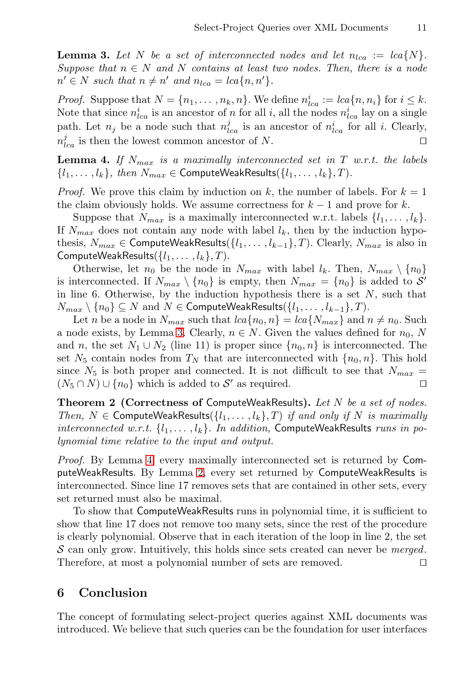<span id="page-9-0"></span>**Lemma 3.** Let N be a set of interconnected nodes and let  $n_{lca} := lca\{N\}$ . Suppose that  $n \in N$  and N contains at least two nodes. Then, there is a node  $n' \in N$  such that  $n \neq n'$  and  $n_{lca} = lca\{n, n'\}.$ 

*Proof.* Suppose that  $N = \{n_1, \ldots, n_k, n\}$ . We define  $n_{lca}^i := \text{lca}\{n, n_i\}$  for  $i \leq k$ . Note that since  $n_{lca}^i$  is an ancestor of n for all i, all the nodes  $n_{lca}^i$  lay on a single path. Let  $n_j$  be a node such that  $n_{lca}^j$  is an ancestor of  $n_{lca}^i$  for all i. Clearly,  $n_{lca}^j$  is then the lowest common ancestor of N.

**Lemma 4.** If  $N_{max}$  is a maximally interconnected set in T w.r.t. the labels  $\{l_1,\ldots,l_k\}$ , then  $N_{max} \in \textsf{ComputeWeakResults}(\{l_1,\ldots,l_k\}, T)$ .

*Proof.* We prove this claim by induction on k, the number of labels. For  $k = 1$ the claim obviously holds. We assume correctness for  $k-1$  and prove for k.

Suppose that  $N_{max}$  is a maximally interconnected w.r.t. labels  $\{l_1,\ldots,l_k\}$ . If  $N_{max}$  does not contain any node with label  $l_k$ , then by the induction hypothesis,  $N_{max} \in \text{ComputeWeakResults}(\{l_1,\ldots,l_{k-1}\}, T)$ . Clearly,  $N_{max}$  is also in ComputeWeakResults $({l_1, \ldots, l_k}, T)$ .

Otherwise, let  $n_0$  be the node in  $N_{max}$  with label  $l_k$ . Then,  $N_{max} \setminus \{n_0\}$ is interconnected. If  $N_{max} \setminus \{n_0\}$  is empty, then  $N_{max} = \{n_0\}$  is added to  $\mathcal{S}'$ in line 6. Otherwise, by the induction hypothesis there is a set  $N$ , such that  $N_{max} \setminus \{n_0\} \subseteq N$  and  $N \in \textsf{ComputeWeakResults}(\{l_1,\ldots,l_{k-1}\}, T)$ .

Let n be a node in  $N_{max}$  such that  $lca\{n_0, n\} = lca\{N_{max}\}\$  and  $n \neq n_0$ . Such a node exists, by Lemma [3.](#page-8-0) Clearly,  $n \in N$ . Given the values defined for  $n_0$ , N and n, the set  $N_1 \cup N_2$  (line 11) is proper since  $\{n_0, n\}$  is interconnected. The set  $N_5$  contain nodes from  $T_N$  that are interconnected with  $\{n_0, n\}$ . This hold since  $N_5$  is both proper and connected. It is not difficult to see that  $N_{max}$  =  $(N_5 \cap N) \cup \{n_0\}$  which is added to S' as required.

**Theorem 2 (Correctness of** ComputeWeakResults**).** Let N be a set of nodes. Then,  $N \in \text{ComputeWeakResults}(\{l_1, \ldots, l_k\}, T)$  if and only if N is maximally interconnected w.r.t.  $\{l_1,\ldots,l_k\}$ . In addition, ComputeWeakResults runs in polynomial time relative to the input and output.

Proof. By Lemma 4, every maximally interconnected set is returned by ComputeWeakResults. By Lemma [2,](#page-8-0) every set returned by ComputeWeakResults is interconnected. Since line 17 removes sets that are contained in other sets, every set returned must also be maximal.

To show that ComputeWeakResults runs in polynomial time, it is sufficient to show that line 17 does not remove too many sets, since the rest of the procedure is clearly polynomial. Observe that in each iteration of the loop in line 2, the set  $S$  can only grow. Intuitively, this holds since sets created can never be *merged*. Therefore, at most a polynomial number of sets are removed.  $\square$ 

# **6 Conclusion**

The concept of formulating select-project queries against XML documents was introduced. We believe that such queries can be the foundation for user interfaces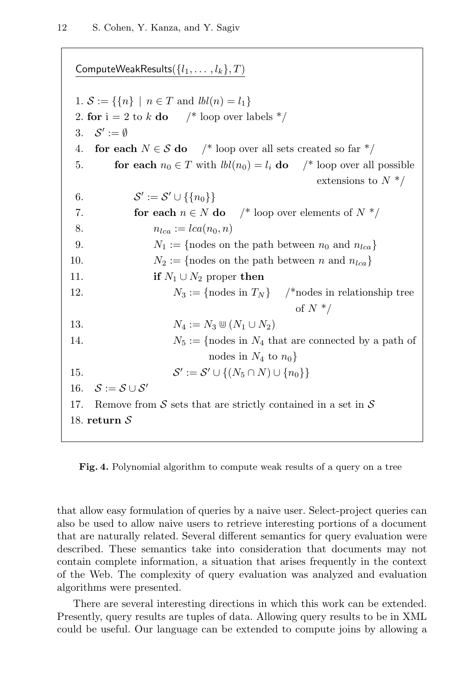<span id="page-10-0"></span>ComputeWeakResults $(\{l_1,\ldots,l_k\},T)$ 1.  $S := \{ \{n\} \mid n \in T \text{ and } bl(n) = l_1 \}$ 2. **for**  $i = 2$  to k **do** /\* loop over labels \*/ 3.  $S' := \emptyset$ 4. **for each**  $N \in \mathcal{S}$  **do** /\* loop over all sets created so far \*/ 5. **for each**  $n_0 \in T$  with  $\text{lb}(n_0) = l_i$  **do** /\* loop over all possible extensions to  $N^*/$ 6.  $S' := S' \cup \{\{n_0\}\}\$ 7. **for each**  $n \in N$  **do** /\* loop over elements of  $N$  \*/ 8.  $n_{lca} := lca(n_0, n)$ 9.  $N_1 := \{$ nodes on the path between  $n_0$  and  $n_{lca}$ } 10.  $N_2 := \{$ nodes on the path between n and  $n_{lca}\}$ 11. **if**  $N_1 \cup N_2$  proper **then** 12.  $N_3 := \{\text{nodes in } T_N\}$  /\*nodes in relationship tree of  $N^*/$ 13.  $N_4 := N_3 \cup (N_1 \cup N_2)$ 14.  $N_5 := \{nodes in N_4 that are connected by a path of$ nodes in  $N_4$  to  $n_0$ } 15.  $\mathcal{S}'$  $\mathcal{C}:=\mathcal{S}'\cup\{(N_5\cap N)\cup\{n_0\}\}$ 16.  $S := S \cup S'$ 17. Remove from  $S$  sets that are strictly contained in a set in  $S$ 18. **return** S

**Fig. 4.** Polynomial algorithm to compute weak results of a query on a tree

that allow easy formulation of queries by a naive user. Select-project queries can also be used to allow naive users to retrieve interesting portions of a document that are naturally related. Several different semantics for query evaluation were described. These semantics take into consideration that documents may not contain complete information, a situation that arises frequently in the context of the Web. The complexity of query evaluation was analyzed and evaluation algorithms were presented.

There are several interesting directions in which this work can be extended. Presently, query results are tuples of data. Allowing query results to be in XML could be useful. Our language can be extended to compute joins by allowing a